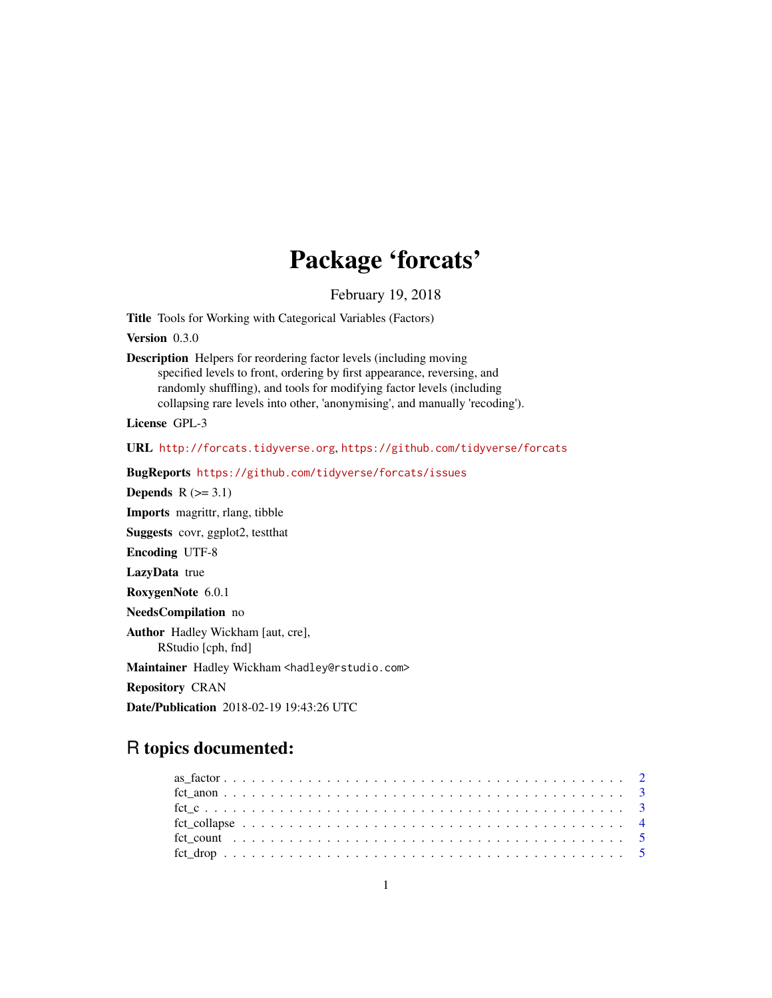# Package 'forcats'

February 19, 2018

<span id="page-0-0"></span>Title Tools for Working with Categorical Variables (Factors)

Version 0.3.0

Description Helpers for reordering factor levels (including moving specified levels to front, ordering by first appearance, reversing, and randomly shuffling), and tools for modifying factor levels (including collapsing rare levels into other, 'anonymising', and manually 'recoding').

License GPL-3

URL <http://forcats.tidyverse.org>, <https://github.com/tidyverse/forcats>

BugReports <https://github.com/tidyverse/forcats/issues>

Depends  $R$  ( $>= 3.1$ ) Imports magrittr, rlang, tibble Suggests covr, ggplot2, testthat Encoding UTF-8 LazyData true RoxygenNote 6.0.1 NeedsCompilation no Author Hadley Wickham [aut, cre], RStudio [cph, fnd] Maintainer Hadley Wickham <hadley@rstudio.com> Repository CRAN

Date/Publication 2018-02-19 19:43:26 UTC

# R topics documented: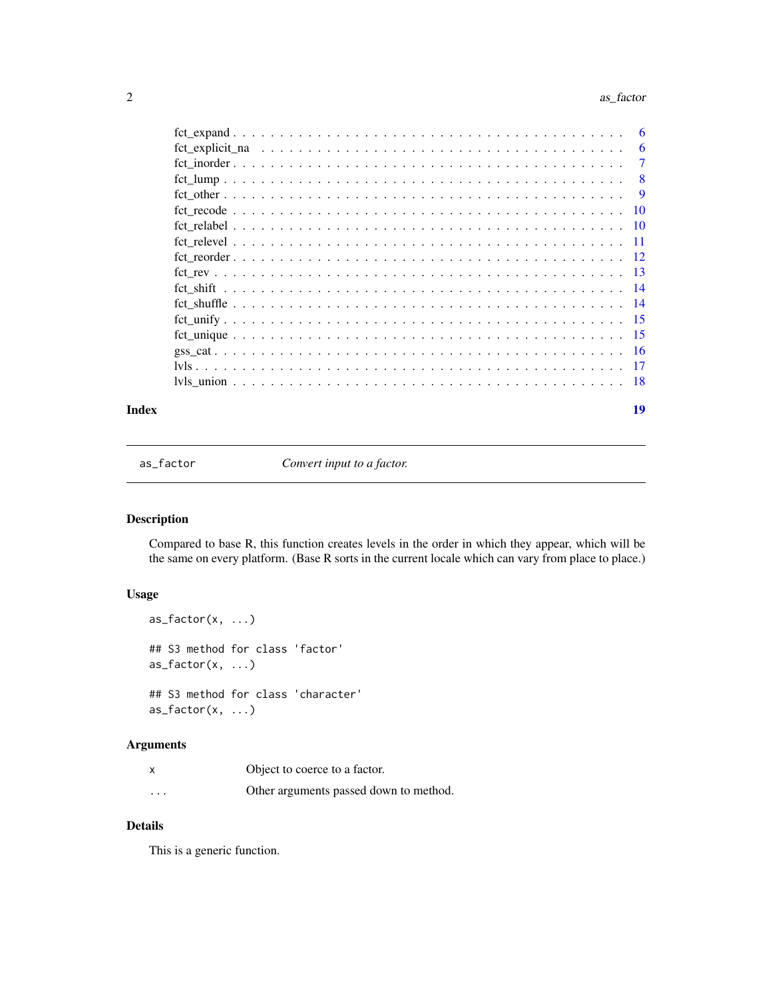#### <span id="page-1-0"></span>2 as a set of the set of the set of the set of the set of the set of the set of the set of the set of the set of the set of the set of the set of the set of the set of the set of the set of the set of the set of the set of

|  | -6             |
|--|----------------|
|  | 6              |
|  | $\overline{7}$ |
|  | 8              |
|  | 9              |
|  | -10            |
|  |                |
|  |                |
|  |                |
|  |                |
|  |                |
|  |                |
|  |                |
|  |                |
|  |                |
|  |                |
|  |                |
|  |                |

#### **Index** 2008 **[19](#page-18-0)99**

as\_factor *Convert input to a factor.*

# Description

Compared to base R, this function creates levels in the order in which they appear, which will be the same on every platform. (Base R sorts in the current locale which can vary from place to place.)

# Usage

```
as_factor(x, \ldots)## S3 method for class 'factor'
as_factor(x, \ldots)## S3 method for class 'character'
as\_factor(x, \ldots)
```
# Arguments

|          | Object to coerce to a factor.          |
|----------|----------------------------------------|
| $\cdots$ | Other arguments passed down to method. |

# Details

This is a generic function.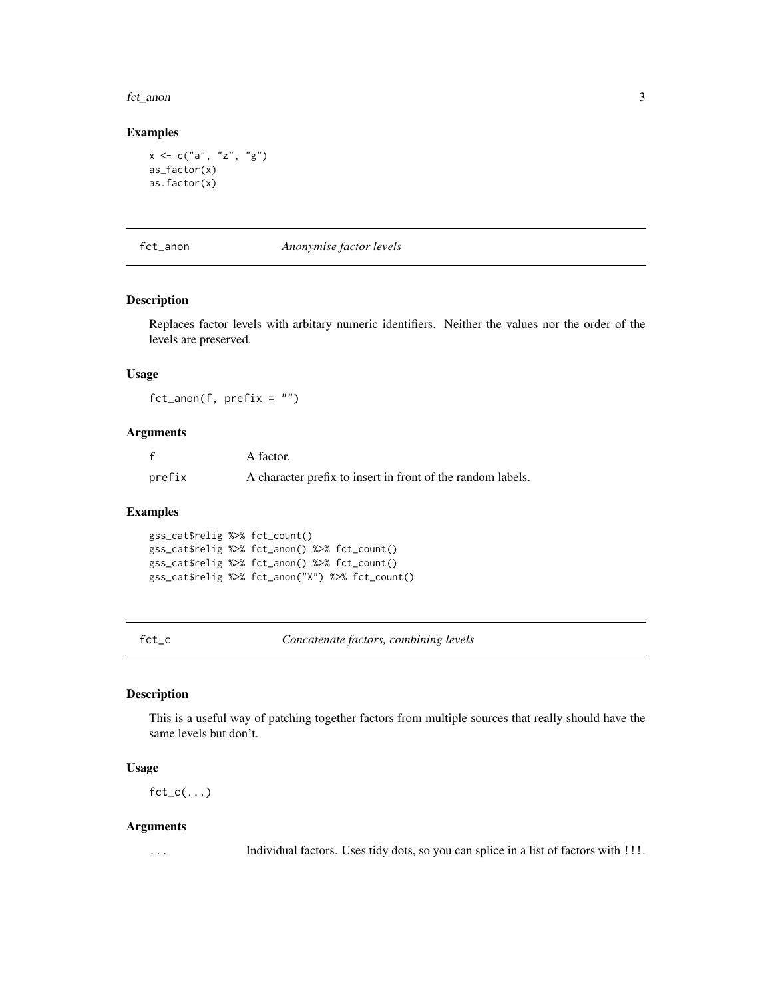<span id="page-2-0"></span>fct\_anon 3

#### Examples

```
x \le -c("a", "z", "g")as_factor(x)
as.factor(x)
```
fct\_anon *Anonymise factor levels*

#### Description

Replaces factor levels with arbitary numeric identifiers. Neither the values nor the order of the levels are preserved.

# Usage

 $fct_name(f, prefix = "")$ 

#### Arguments

|        | A factor.                                                   |
|--------|-------------------------------------------------------------|
| prefix | A character prefix to insert in front of the random labels. |

#### Examples

gss\_cat\$relig %>% fct\_count() gss\_cat\$relig %>% fct\_anon() %>% fct\_count() gss\_cat\$relig %>% fct\_anon() %>% fct\_count() gss\_cat\$relig %>% fct\_anon("X") %>% fct\_count()

fct\_c *Concatenate factors, combining levels*

#### Description

This is a useful way of patching together factors from multiple sources that really should have the same levels but don't.

#### Usage

 $fct_c(....)$ 

#### Arguments

... Individual factors. Uses tidy dots, so you can splice in a list of factors with !!!.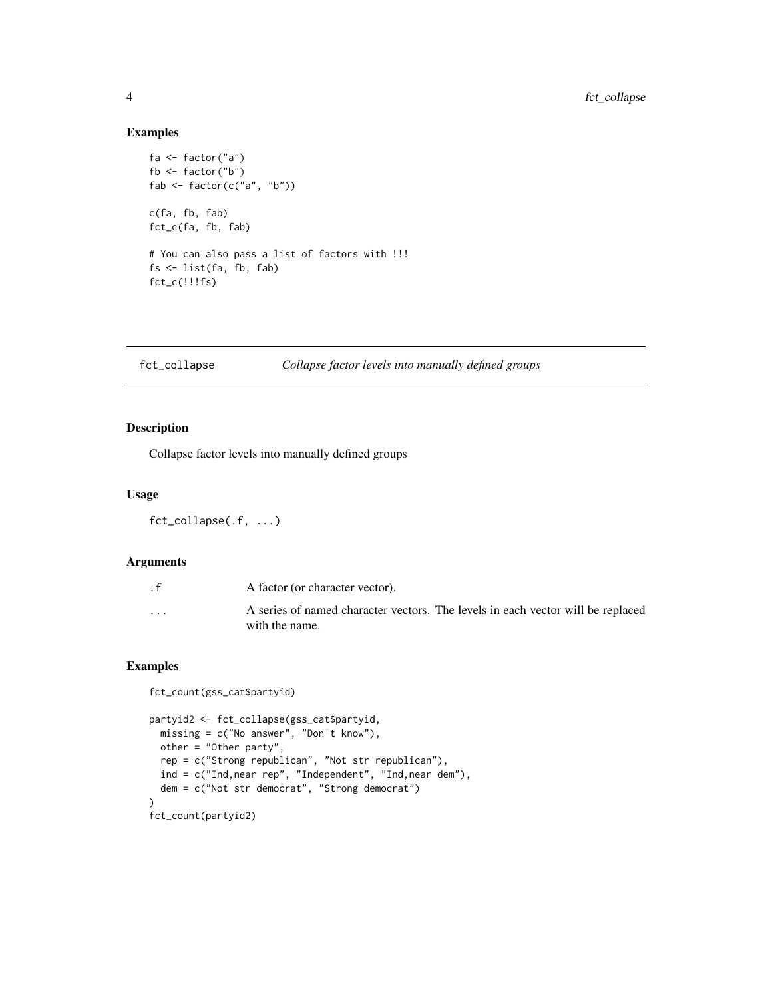#### Examples

```
fa <- factor("a")
fb <- factor("b")
fab \leq factor(c("a", "b"))
c(fa, fb, fab)
fct_c(fa, fb, fab)
# You can also pass a list of factors with !!!
fs <- list(fa, fb, fab)
fct_c(!!!fs)
```
#### fct\_collapse *Collapse factor levels into manually defined groups*

# Description

Collapse factor levels into manually defined groups

#### Usage

```
fct_collapse(.f, ...)
```
# Arguments

| . $\mathsf{f}$          | A factor (or character vector).                                                                   |
|-------------------------|---------------------------------------------------------------------------------------------------|
| $\cdot$ $\cdot$ $\cdot$ | A series of named character vectors. The levels in each vector will be replaced<br>with the name. |

```
fct_count(gss_cat$partyid)
partyid2 <- fct_collapse(gss_cat$partyid,
 missing = c("No answer", "Don't know"),
 other = "Other party",
  rep = c("Strong republican", "Not str republican"),
  ind = c("Ind,near rep", "Independent", "Ind,near dem"),
  dem = c("Not str democrat", "Strong democrat")
)
fct_count(partyid2)
```
<span id="page-3-0"></span>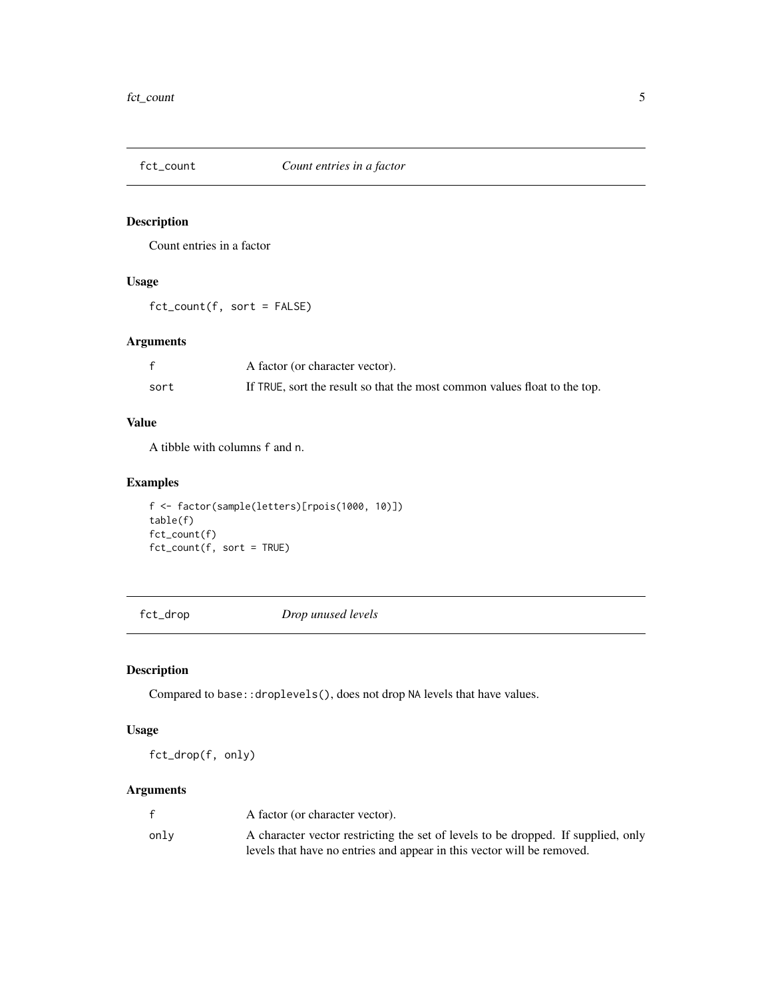<span id="page-4-0"></span>

Count entries in a factor

### Usage

fct\_count(f, sort = FALSE)

# Arguments

|      | A factor (or character vector).                                           |
|------|---------------------------------------------------------------------------|
| sort | If TRUE, sort the result so that the most common values float to the top. |

# Value

A tibble with columns f and n.

# Examples

f <- factor(sample(letters)[rpois(1000, 10)]) table(f) fct\_count(f) fct\_count(f, sort = TRUE)

fct\_drop *Drop unused levels*

# Description

Compared to base::droplevels(), does not drop NA levels that have values.

# Usage

fct\_drop(f, only)

# Arguments

|      | A factor (or character vector).                                                   |
|------|-----------------------------------------------------------------------------------|
| onlv | A character vector restricting the set of levels to be dropped. If supplied, only |
|      | levels that have no entries and appear in this vector will be removed.            |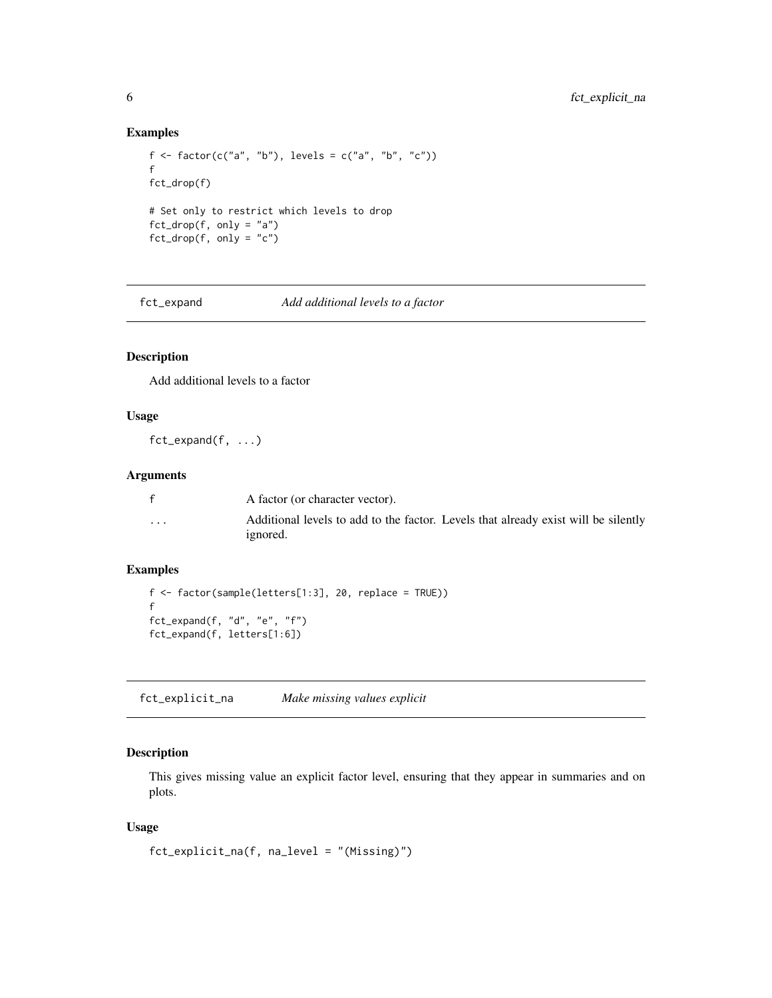#### Examples

```
f \leftarrow factor(c("a", "b"), levels = c("a", "b", "c"))f
fct_drop(f)
# Set only to restrict which levels to drop
fct_drop(f, only = "a")fct_drop(f, only = "c")
```
fct\_expand *Add additional levels to a factor*

#### Description

Add additional levels to a factor

# Usage

fct\_expand(f, ...)

#### Arguments

|                         | A factor (or character vector).                                                                |
|-------------------------|------------------------------------------------------------------------------------------------|
| $\cdot$ $\cdot$ $\cdot$ | Additional levels to add to the factor. Levels that already exist will be silently<br>ignored. |

# Examples

```
f <- factor(sample(letters[1:3], 20, replace = TRUE))
f
fct_expand(f, "d", "e", "f")
fct_expand(f, letters[1:6])
```
fct\_explicit\_na *Make missing values explicit*

# Description

This gives missing value an explicit factor level, ensuring that they appear in summaries and on plots.

# Usage

```
fct_explicit_na(f, na_level = "(Missing)")
```
<span id="page-5-0"></span>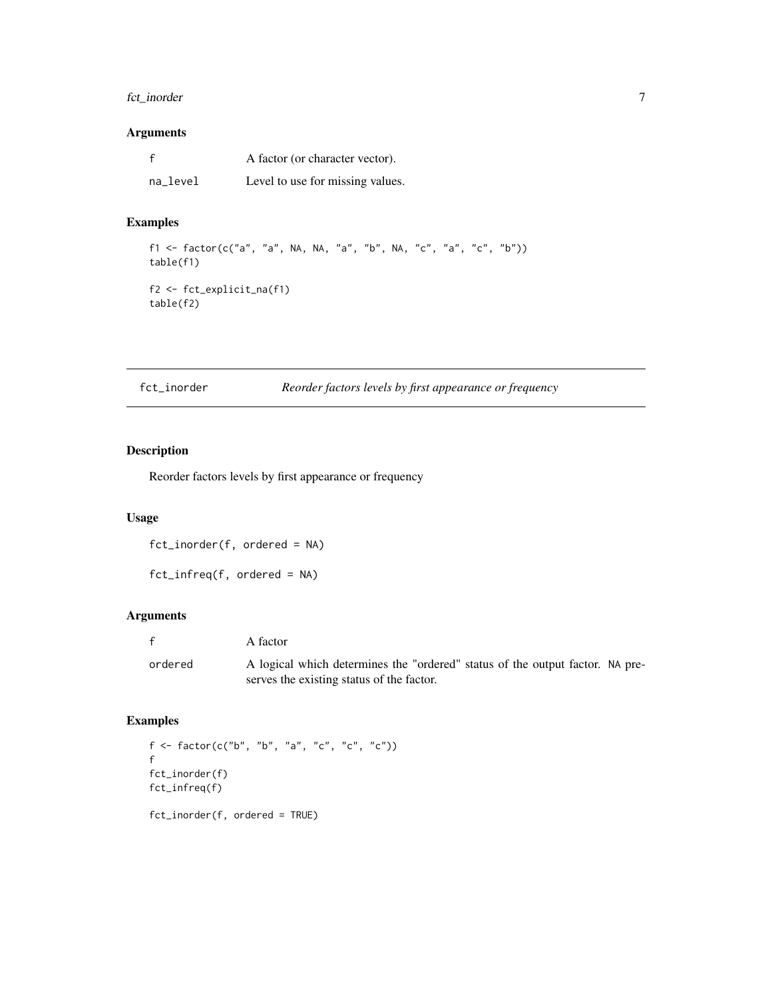# <span id="page-6-0"></span>fct\_inorder 7

# Arguments

| $\mathbf f$ | A factor (or character vector).  |
|-------------|----------------------------------|
| na_level    | Level to use for missing values. |

# Examples

```
f1 <- factor(c("a", "a", NA, NA, "a", "b", NA, "c", "a", "c", "b"))
table(f1)
f2 <- fct_explicit_na(f1)
table(f2)
```
<span id="page-6-1"></span>fct\_inorder *Reorder factors levels by first appearance or frequency*

# Description

Reorder factors levels by first appearance or frequency

### Usage

fct\_inorder(f, ordered = NA)

fct\_infreq(f, ordered = NA)

# Arguments

|         | A factor                                                                      |
|---------|-------------------------------------------------------------------------------|
| ordered | A logical which determines the "ordered" status of the output factor. NA pre- |
|         | serves the existing status of the factor.                                     |

```
f <- factor(c("b", "b", "a", "c", "c", "c"))
f
fct_inorder(f)
fct_infreq(f)
fct_inorder(f, ordered = TRUE)
```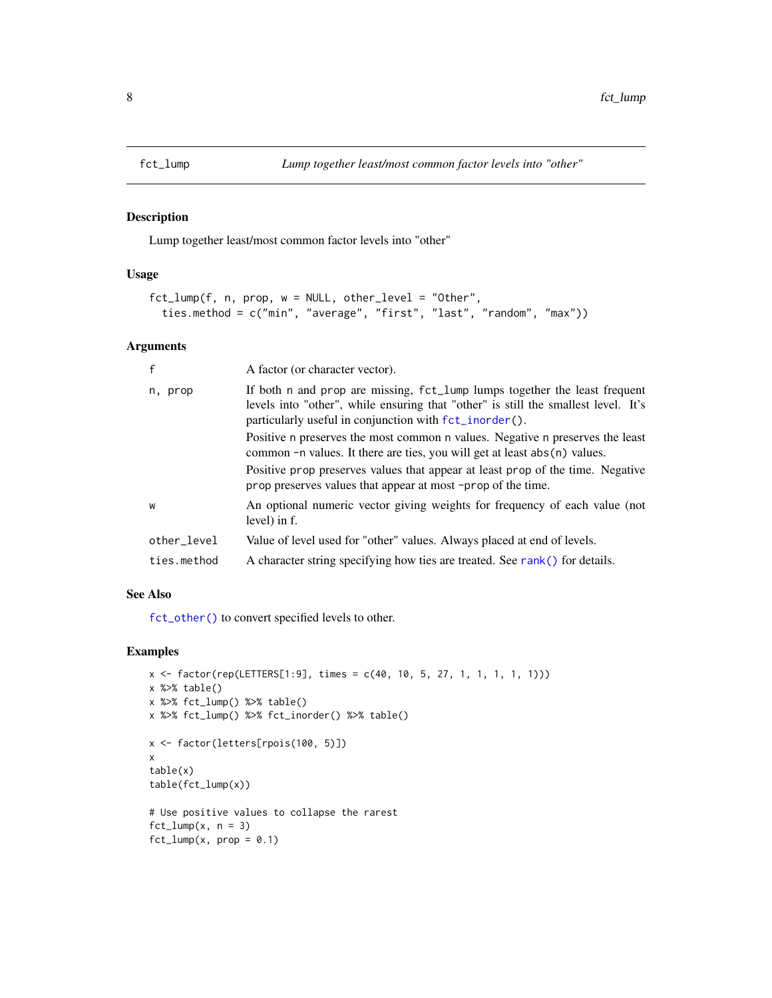Lump together least/most common factor levels into "other"

### Usage

```
fct_lump(f, n, prop, w = NULL, other_level = "Other",
  ties.method = c("min", "average", "first", "last", "random", "max"))
```
# Arguments

| $\mathsf{f}$ | A factor (or character vector).                                                                                                                                                                                                |
|--------------|--------------------------------------------------------------------------------------------------------------------------------------------------------------------------------------------------------------------------------|
| n, prop      | If both n and prop are missing, fct_lump lumps together the least frequent<br>levels into "other", while ensuring that "other" is still the smallest level. It's<br>particularly useful in conjunction with $fct\_inorder()$ . |
|              | Positive n preserves the most common n values. Negative n preserves the least<br>common $-n$ values. It there are ties, you will get at least $abs(n)$ values.                                                                 |
|              | Positive prop preserves values that appear at least prop of the time. Negative<br>prop preserves values that appear at most -prop of the time.                                                                                 |
| W            | An optional numeric vector giving weights for frequency of each value (not<br>level) in f.                                                                                                                                     |
| other_level  | Value of level used for "other" values. Always placed at end of levels.                                                                                                                                                        |
| ties.method  | A character string specifying how ties are treated. See rank() for details.                                                                                                                                                    |

### See Also

[fct\\_other\(\)](#page-8-1) to convert specified levels to other.

```
x \le factor(rep(LETTERS[1:9], times = c(40, 10, 5, 27, 1, 1, 1, 1, 1)))
x %>% table()
x %>% fct_lump() %>% table()
x %>% fct_lump() %>% fct_inorder() %>% table()
x <- factor(letters[rpois(100, 5)])
x
table(x)
table(fct_lump(x))
# Use positive values to collapse the rarest
fct_lump(x, n = 3)fct_lump(x, prop = 0.1)
```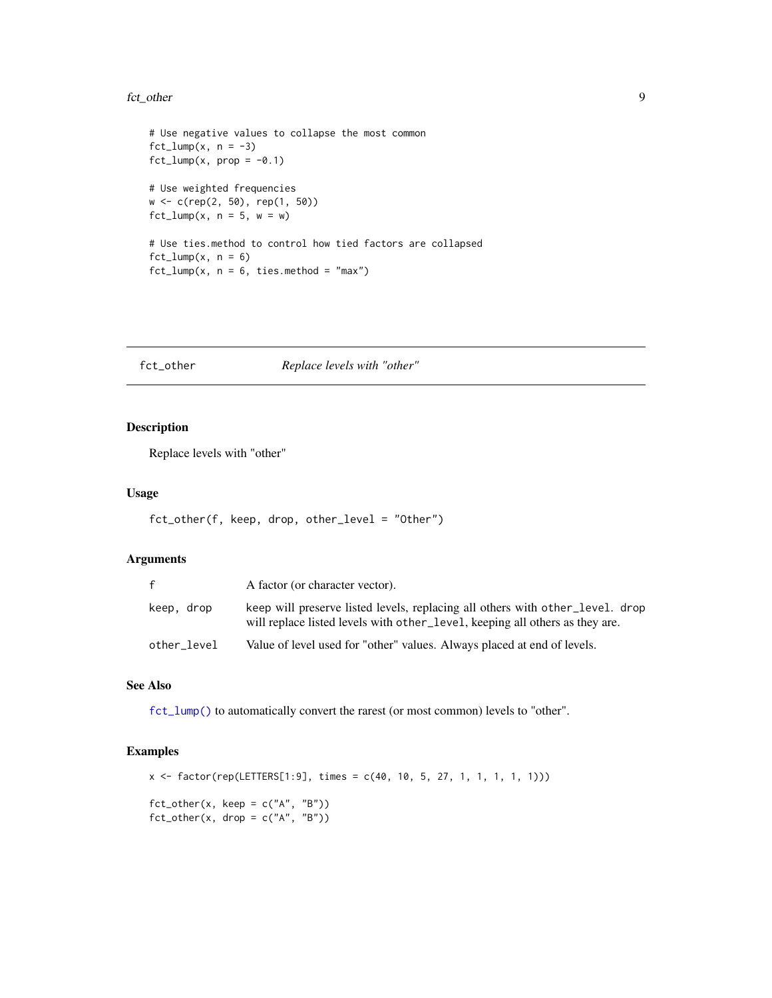#### <span id="page-8-0"></span>fct\_other 9

```
# Use negative values to collapse the most common
fct_lump(x, n = -3)fct_lump(x, prop = -0.1)# Use weighted frequencies
w <- c(rep(2, 50), rep(1, 50))
fct_lump(x, n = 5, w = w)# Use ties.method to control how tied factors are collapsed
fct_lump(x, n = 6)fct_lump(x, n = 6, ties.method = "max")
```
<span id="page-8-1"></span>fct\_other *Replace levels with "other"*

# Description

Replace levels with "other"

#### Usage

```
fct_other(f, keep, drop, other_level = "Other")
```
#### Arguments

| f           | A factor (or character vector).                                                                                                                               |
|-------------|---------------------------------------------------------------------------------------------------------------------------------------------------------------|
| keep, drop  | keep will preserve listed levels, replacing all others with other_level. drop<br>will replace listed levels with other level, keeping all others as they are. |
| other level | Value of level used for "other" values. Always placed at end of levels.                                                                                       |

#### See Also

[fct\\_lump\(\)](#page-7-1) to automatically convert the rarest (or most common) levels to "other".

#### Examples

x <- factor(rep(LETTERS[1:9], times = c(40, 10, 5, 27, 1, 1, 1, 1, 1)))  $fct\_other(x, keep = c("A", "B"))$  $fct\_other(x, drop = c("A", "B"))$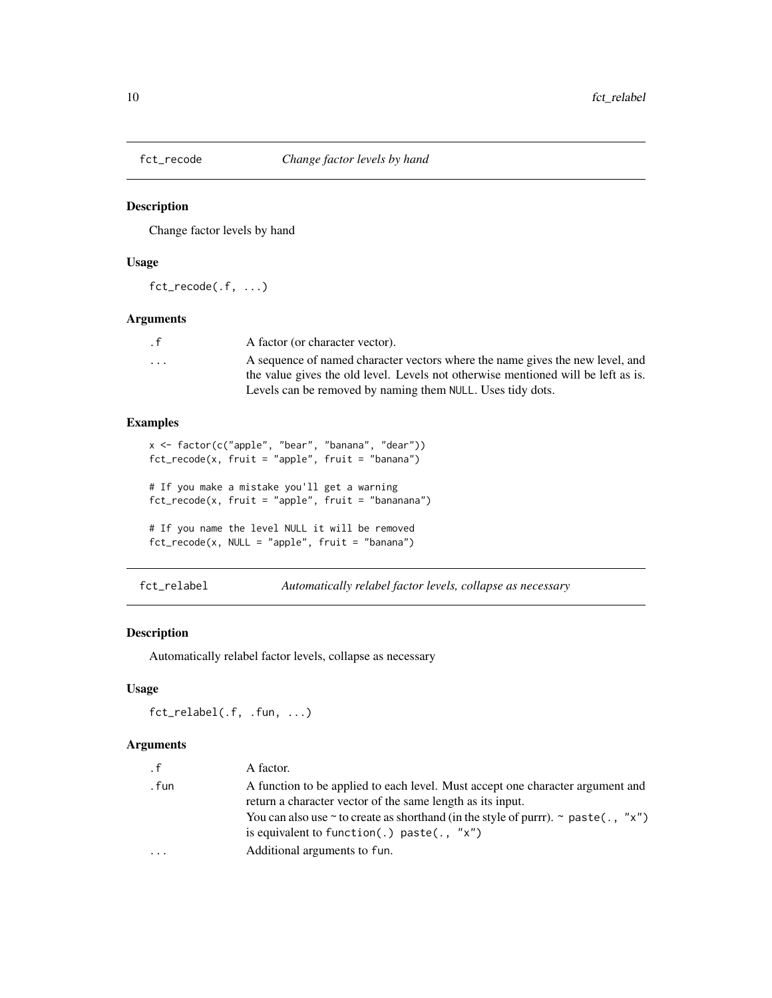<span id="page-9-0"></span>

Change factor levels by hand

#### Usage

fct\_recode(.f, ...)

# Arguments

| $\cdot$ f               | A factor (or character vector).                                                   |
|-------------------------|-----------------------------------------------------------------------------------|
| $\cdot$ $\cdot$ $\cdot$ | A sequence of named character vectors where the name gives the new level, and     |
|                         | the value gives the old level. Levels not otherwise mentioned will be left as is. |
|                         | Levels can be removed by naming them NULL. Uses tidy dots.                        |

# Examples

```
x <- factor(c("apple", "bear", "banana", "dear"))
fct_recode(x, fruit = "apple", fruit = "banana")
# If you make a mistake you'll get a warning
fct_recode(x, fruit = "apple", fruit = "bananana")
# If you name the level NULL it will be removed
fct\_recode(x, NULL = "apple", fruit = "banana")
```
fct\_relabel *Automatically relabel factor levels, collapse as necessary*

#### Description

Automatically relabel factor levels, collapse as necessary

#### Usage

fct\_relabel(.f, .fun, ...)

#### Arguments

| $\cdot$ f | A factor.                                                                                                                                     |
|-----------|-----------------------------------------------------------------------------------------------------------------------------------------------|
| . fun     | A function to be applied to each level. Must accept one character argument and<br>return a character vector of the same length as its input.  |
|           | You can also use $\sim$ to create as shorthand (in the style of purrr). $\sim$ paste(., "x")<br>is equivalent to function(.) paste(., $"x"$ ) |
| $\ddotsc$ | Additional arguments to fun.                                                                                                                  |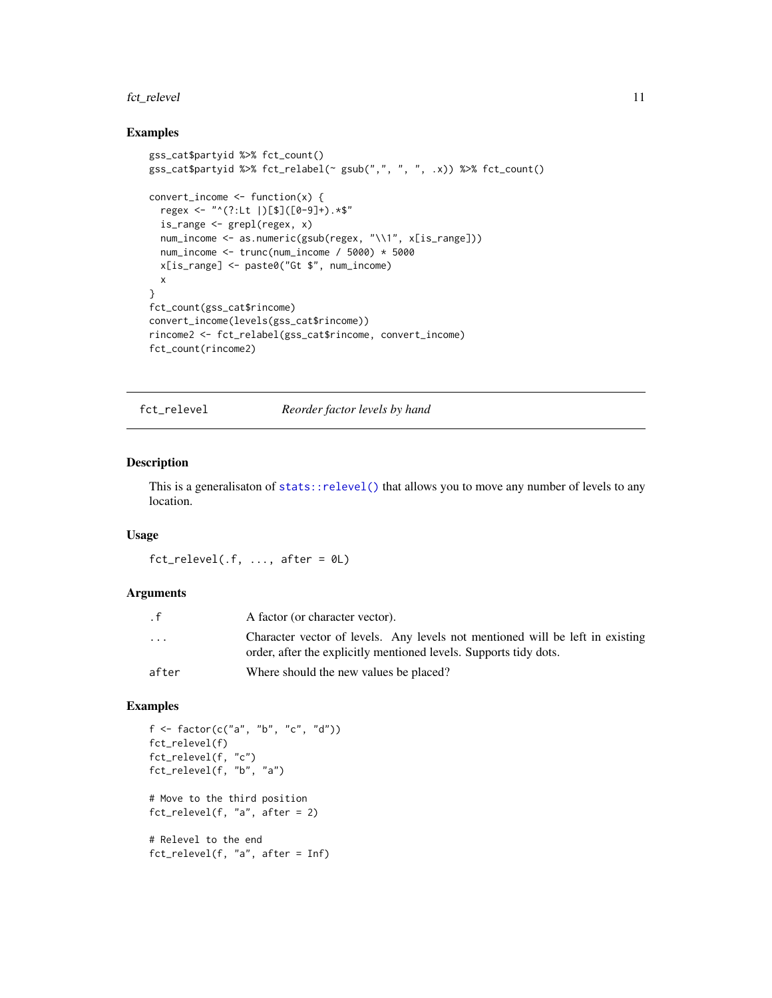# <span id="page-10-0"></span>fct\_relevel 11

#### Examples

```
gss_cat$partyid %>% fct_count()
gss_cat$partyid %>% fct_relabel(~ gsub(",", ", ", .x)) %>% fct_count()
convert_income \leq function(x) {
  regex <- "^(?:Lt |)[$]([0-9]+).*$"
  is_range <- grepl(regex, x)
  num_income <- as.numeric(gsub(regex, "\\1", x[is_range]))
  num_income <- trunc(num_income / 5000) * 5000
  x[is_range] <- paste0("Gt $", num_income)
  x
}
fct_count(gss_cat$rincome)
convert_income(levels(gss_cat$rincome))
rincome2 <- fct_relabel(gss_cat$rincome, convert_income)
fct_count(rincome2)
```
fct\_relevel *Reorder factor levels by hand*

#### Description

This is a generalisaton of [stats::relevel\(\)](#page-0-0) that allows you to move any number of levels to any location.

#### Usage

 $fct_{relevel(.f, ..., after = 0L)}$ 

#### Arguments

| . f                     | A factor (or character vector).                                                                                                                    |
|-------------------------|----------------------------------------------------------------------------------------------------------------------------------------------------|
| $\cdot$ $\cdot$ $\cdot$ | Character vector of levels. Any levels not mentioned will be left in existing<br>order, after the explicitly mentioned levels. Supports tidy dots. |
| after                   | Where should the new values be placed?                                                                                                             |

```
f \leftarrow factor(c("a", "b", "c", "d"))fct_relevel(f)
fct_relevel(f, "c")
fct_relevel(f, "b", "a")
# Move to the third position
fct_{relevel}(f, "a", after = 2)# Relevel to the end
fct_relevel(f, "a", after = Inf)
```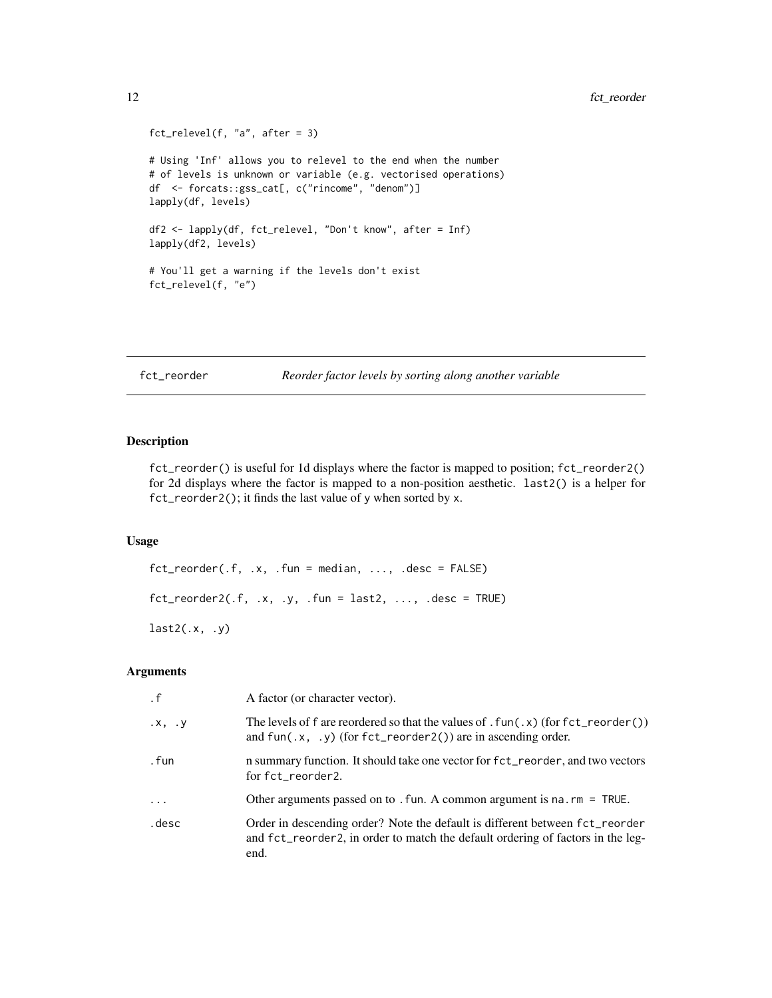```
fct_{relevel}(f, 'a'', \text{ after } = 3)# Using 'Inf' allows you to relevel to the end when the number
# of levels is unknown or variable (e.g. vectorised operations)
df <- forcats::gss_cat[, c("rincome", "denom")]
lapply(df, levels)
df2 <- lapply(df, fct_relevel, "Don't know", after = Inf)
lapply(df2, levels)
# You'll get a warning if the levels don't exist
fct_relevel(f, "e")
```

```
fct_reorder Reorder factor levels by sorting along another variable
```
fct\_reorder() is useful for 1d displays where the factor is mapped to position; fct\_reorder2() for 2d displays where the factor is mapped to a non-position aesthetic. last2() is a helper for fct\_reorder2(); it finds the last value of y when sorted by x.

#### Usage

```
fct\_reorder(.f, .x, .fun = median, . . ., .desc = FALSE)fct\_reorder2(.f, .x, .y, .fun = last2, . . ., .desc = TRUE)last2(.x, .y)
```
# Arguments

| $\cdot$ f            | A factor (or character vector).                                                                                                                                                      |
|----------------------|--------------------------------------------------------------------------------------------------------------------------------------------------------------------------------------|
| $\cdot$ x, $\cdot$ y | The levels of f are reordered so that the values of $.\text{fun}(x)$ (for $\text{fct\_reorder}()$ )<br>and fun( $\cdot x$ , $\cdot y$ ) (for fct_reorder2()) are in ascending order. |
| . fun                | n summary function. It should take one vector for fct_reorder, and two vectors<br>for fct_reorder2.                                                                                  |
| $\ddots$ .           | Other arguments passed on to . Fun. A common argument is $na$ . $rm = TRUE$ .                                                                                                        |
| .desc                | Order in descending order? Note the default is different between fct_reorder<br>and fct_reorder2, in order to match the default ordering of factors in the leg-<br>end.              |

<span id="page-11-0"></span>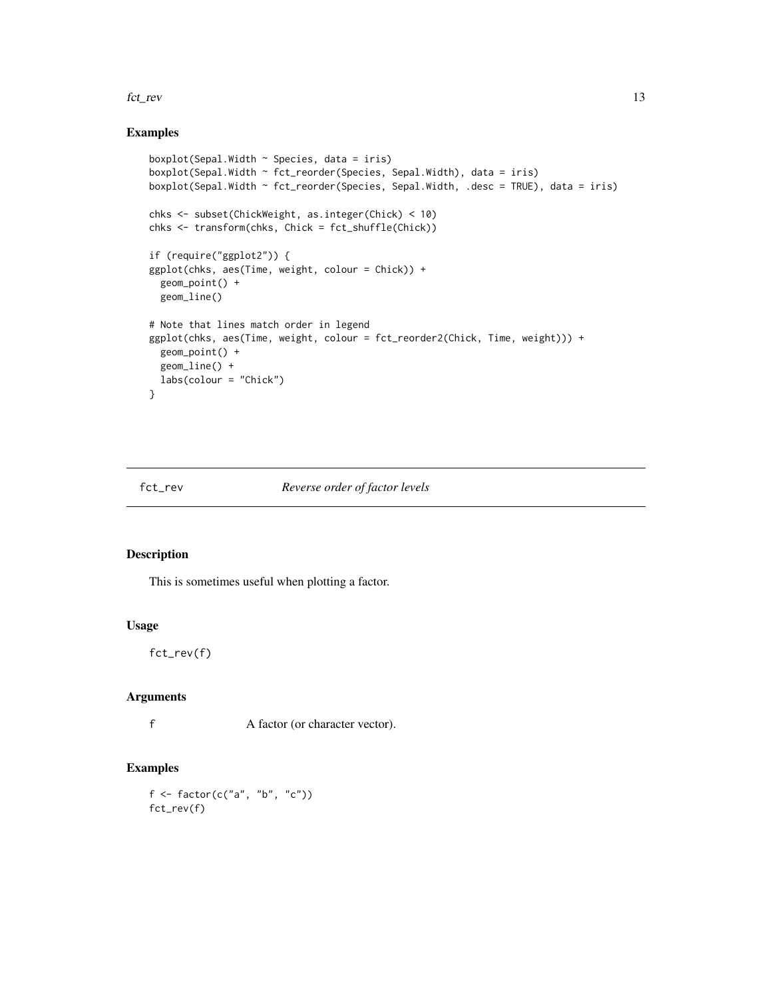#### <span id="page-12-0"></span>fct\_rev 13

#### Examples

```
boxplot(Sepal.Width ~ Species, data = iris)
boxplot(Sepal.Width ~ fct_reorder(Species, Sepal.Width), data = iris)
boxplot(Sepal.Width ~ fct_reorder(Species, Sepal.Width, .desc = TRUE), data = iris)
chks <- subset(ChickWeight, as.integer(Chick) < 10)
chks <- transform(chks, Chick = fct_shuffle(Chick))
if (require("ggplot2")) {
ggplot(chks, aes(Time, weight, colour = Chick)) +
  geom_point() +
  geom_line()
# Note that lines match order in legend
ggplot(chks, aes(Time, weight, colour = fct_reorder2(Chick, Time, weight))) +
  geom_point() +
  geom_line() +
 labs(colour = "Chick")
}
```
#### fct\_rev *Reverse order of factor levels*

# Description

This is sometimes useful when plotting a factor.

#### Usage

fct\_rev(f)

#### Arguments

f A factor (or character vector).

```
f <- factor(c("a", "b", "c"))fct_rev(f)
```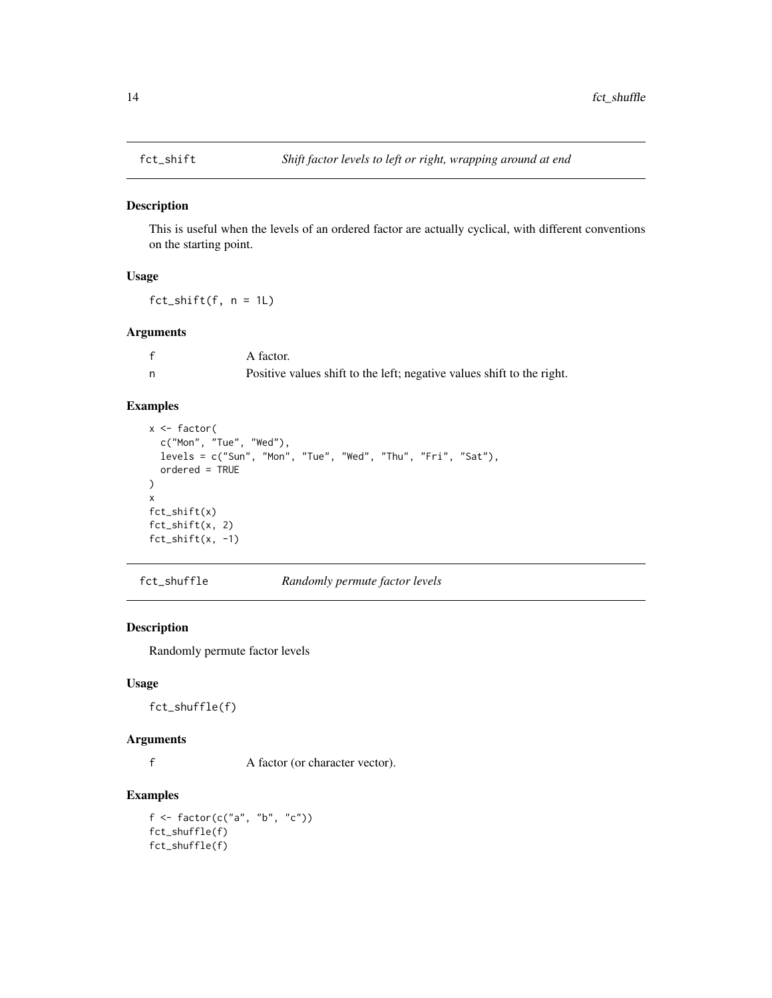<span id="page-13-0"></span>

This is useful when the levels of an ordered factor are actually cyclical, with different conventions on the starting point.

# Usage

 $fct\_shift(f, n = 1L)$ 

# Arguments

| A factor.                                                              |
|------------------------------------------------------------------------|
| Positive values shift to the left; negative values shift to the right. |

# Examples

```
x <- factor(
  c("Mon", "Tue", "Wed"),
  levels = c("Sun", "Mon", "Tue", "Wed", "Thu", "Fri", "Sat"),
  ordered = TRUE
)
x
fct_shift(x)
fct_shift(x, 2)
fct\_shift(x, -1)
```
fct\_shuffle *Randomly permute factor levels*

# Description

Randomly permute factor levels

#### Usage

fct\_shuffle(f)

#### Arguments

f A factor (or character vector).

#### Examples

f <- factor(c("a", "b", "c")) fct\_shuffle(f) fct\_shuffle(f)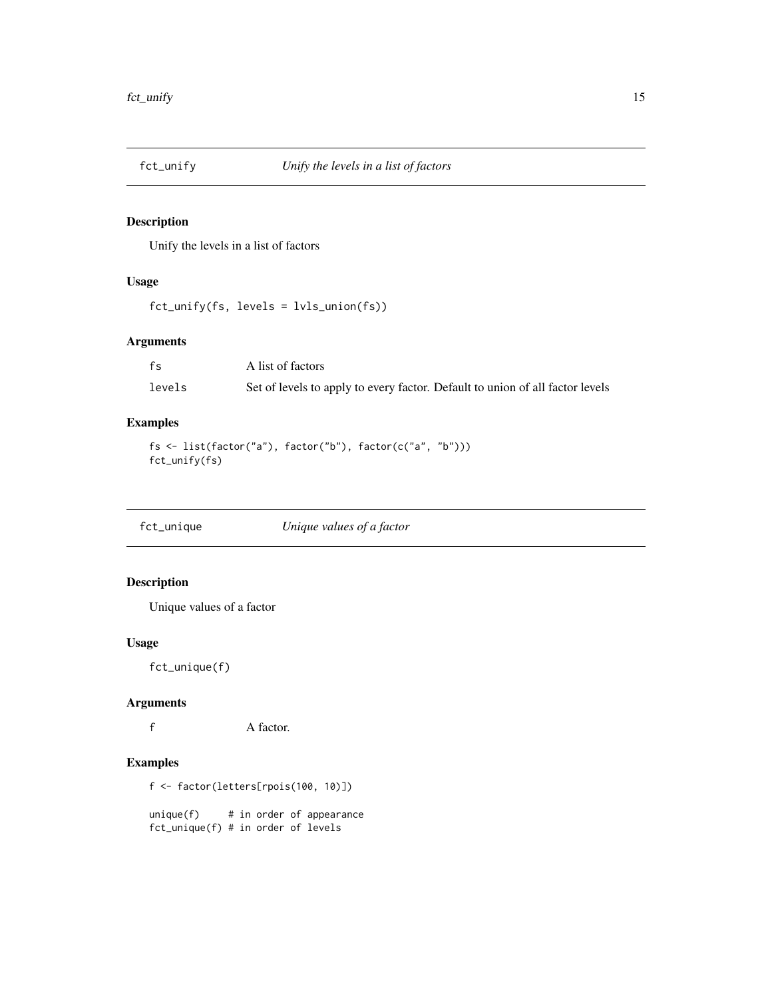<span id="page-14-0"></span>

Unify the levels in a list of factors

#### Usage

fct\_unify(fs, levels = lvls\_union(fs))

# Arguments

| fs     | A list of factors                                                             |
|--------|-------------------------------------------------------------------------------|
| levels | Set of levels to apply to every factor. Default to union of all factor levels |

# Examples

```
fs <- list(factor("a"), factor("b"), factor(c("a", "b")))
fct_unify(fs)
```
fct\_unique *Unique values of a factor*

# Description

Unique values of a factor

#### Usage

fct\_unique(f)

# Arguments

f A factor.

# Examples

f <- factor(letters[rpois(100, 10)])

 $unique(f)$  # in order of appearance fct\_unique(f) # in order of levels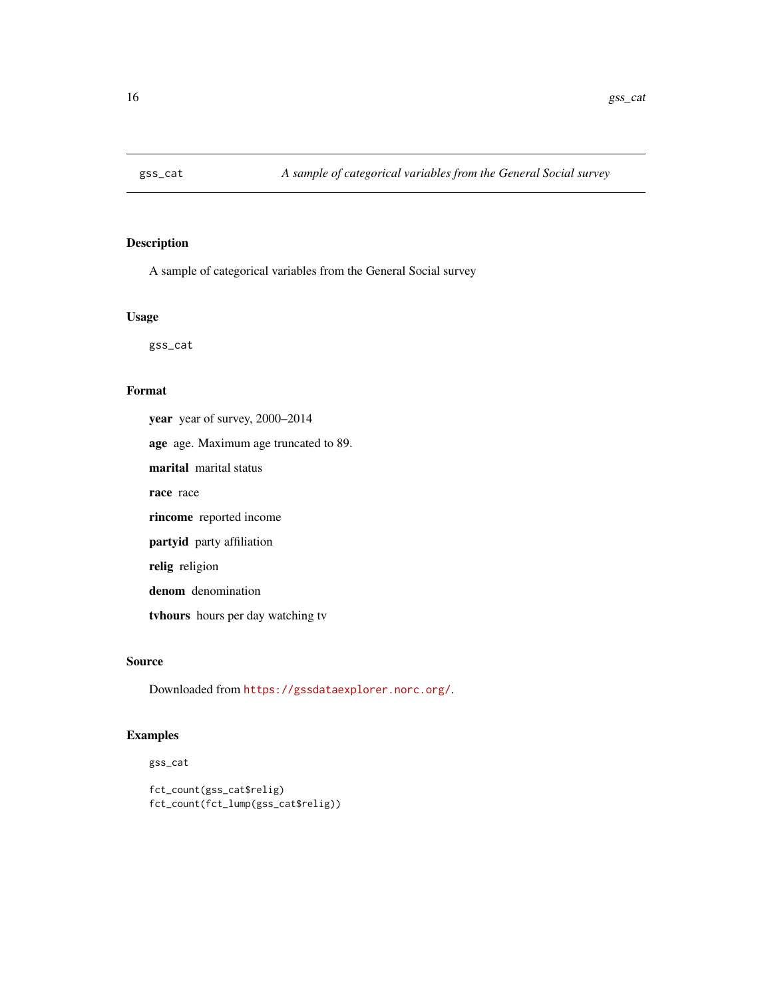<span id="page-15-0"></span>

A sample of categorical variables from the General Social survey

#### Usage

gss\_cat

#### Format

year year of survey, 2000–2014 age age. Maximum age truncated to 89. marital marital status race race rincome reported income partyid party affiliation relig religion denom denomination tvhours hours per day watching tv

# Source

Downloaded from <https://gssdataexplorer.norc.org/>.

# Examples

gss\_cat

```
fct_count(gss_cat$relig)
fct_count(fct_lump(gss_cat$relig))
```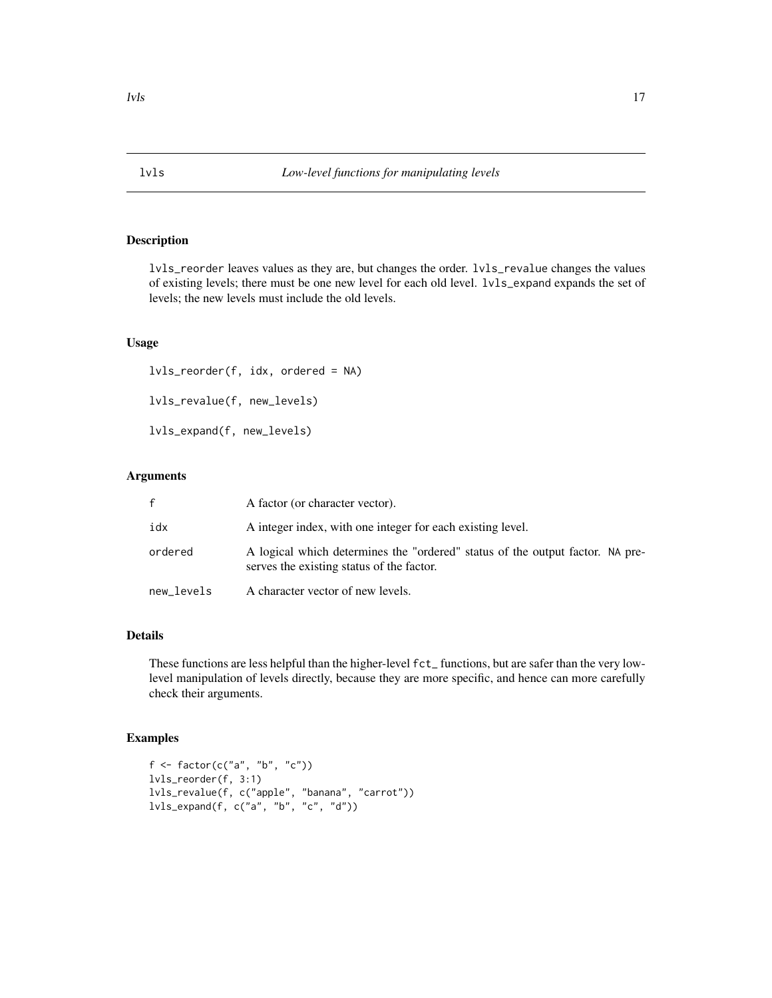<span id="page-16-0"></span>lvls\_reorder leaves values as they are, but changes the order. lvls\_revalue changes the values of existing levels; there must be one new level for each old level. lvls\_expand expands the set of levels; the new levels must include the old levels.

#### Usage

```
lvls_reorder(f, idx, ordered = NA)
lvls_revalue(f, new_levels)
lvls_expand(f, new_levels)
```
#### Arguments

| f.         | A factor (or character vector).                                                                                            |
|------------|----------------------------------------------------------------------------------------------------------------------------|
| idx        | A integer index, with one integer for each existing level.                                                                 |
| ordered    | A logical which determines the "ordered" status of the output factor. NA pre-<br>serves the existing status of the factor. |
| new levels | A character vector of new levels.                                                                                          |

#### Details

These functions are less helpful than the higher-level fct\_ functions, but are safer than the very lowlevel manipulation of levels directly, because they are more specific, and hence can more carefully check their arguments.

```
f \leftarrow factor(c("a", "b", "c"))lvls_reorder(f, 3:1)
lvls_revalue(f, c("apple", "banana", "carrot"))
lvls_expand(f, c("a", "b", "c", "d"))
```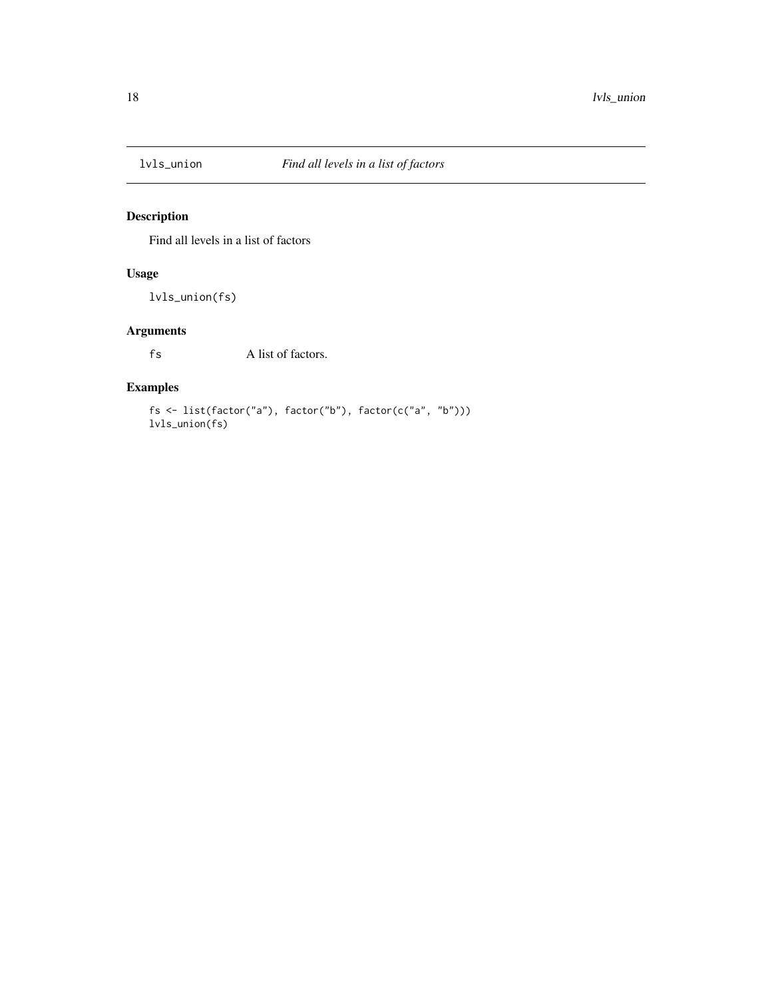<span id="page-17-0"></span>

Find all levels in a list of factors

# Usage

lvls\_union(fs)

# Arguments

fs A list of factors.

# Examples

fs <- list(factor("a"), factor("b"), factor(c("a", "b"))) lvls\_union(fs)